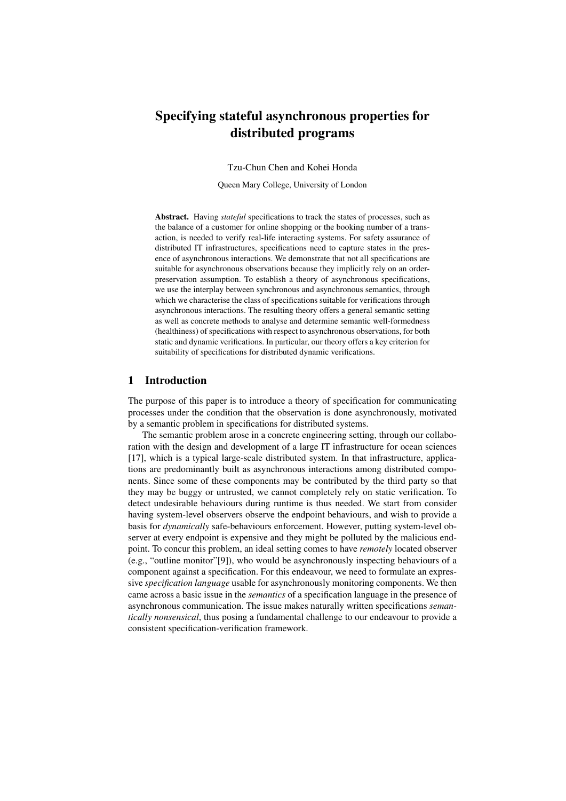# Specifying stateful asynchronous properties for distributed programs

Tzu-Chun Chen and Kohei Honda

Queen Mary College, University of London

Abstract. Having *stateful* specifications to track the states of processes, such as the balance of a customer for online shopping or the booking number of a transaction, is needed to verify real-life interacting systems. For safety assurance of distributed IT infrastructures, specifications need to capture states in the presence of asynchronous interactions. We demonstrate that not all specifications are suitable for asynchronous observations because they implicitly rely on an orderpreservation assumption. To establish a theory of asynchronous specifications, we use the interplay between synchronous and asynchronous semantics, through which we characterise the class of specifications suitable for verifications through asynchronous interactions. The resulting theory offers a general semantic setting as well as concrete methods to analyse and determine semantic well-formedness (healthiness) of specifications with respect to asynchronous observations, for both static and dynamic verifications. In particular, our theory offers a key criterion for suitability of specifications for distributed dynamic verifications.

# 1 Introduction

The purpose of this paper is to introduce a theory of specification for communicating processes under the condition that the observation is done asynchronously, motivated by a semantic problem in specifications for distributed systems.

The semantic problem arose in a concrete engineering setting, through our collaboration with the design and development of a large IT infrastructure for ocean sciences [17], which is a typical large-scale distributed system. In that infrastructure, applications are predominantly built as asynchronous interactions among distributed components. Since some of these components may be contributed by the third party so that they may be buggy or untrusted, we cannot completely rely on static verification. To detect undesirable behaviours during runtime is thus needed. We start from consider having system-level observers observe the endpoint behaviours, and wish to provide a basis for *dynamically* safe-behaviours enforcement. However, putting system-level observer at every endpoint is expensive and they might be polluted by the malicious endpoint. To concur this problem, an ideal setting comes to have *remotely* located observer (e.g., "outline monitor"[9]), who would be asynchronously inspecting behaviours of a component against a specification. For this endeavour, we need to formulate an expressive *specification language* usable for asynchronously monitoring components. We then came across a basic issue in the *semantics* of a specification language in the presence of asynchronous communication. The issue makes naturally written specifications *semantically nonsensical*, thus posing a fundamental challenge to our endeavour to provide a consistent specification-verification framework.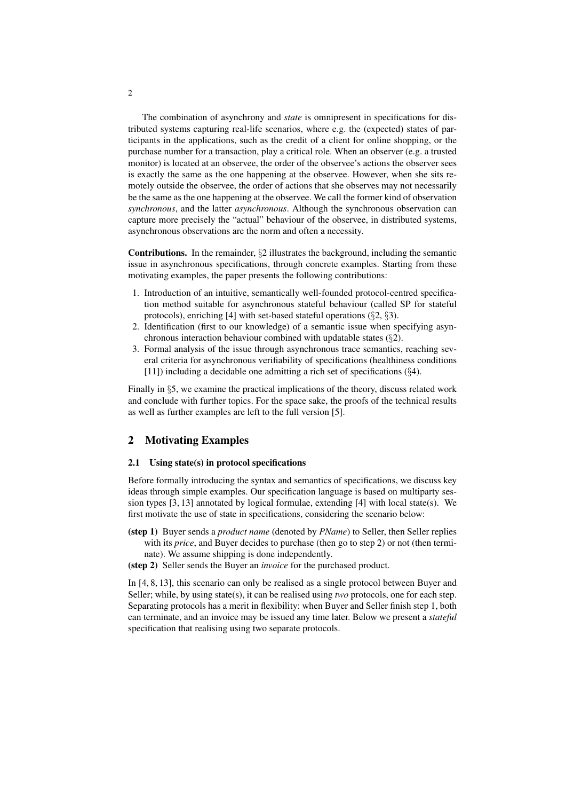The combination of asynchrony and *state* is omnipresent in specifications for distributed systems capturing real-life scenarios, where e.g. the (expected) states of participants in the applications, such as the credit of a client for online shopping, or the purchase number for a transaction, play a critical role. When an observer (e.g. a trusted monitor) is located at an observee, the order of the observee's actions the observer sees is exactly the same as the one happening at the observee. However, when she sits remotely outside the observee, the order of actions that she observes may not necessarily be the same as the one happening at the observee. We call the former kind of observation *synchronous*, and the latter *asynchronous*. Although the synchronous observation can capture more precisely the "actual" behaviour of the observee, in distributed systems, asynchronous observations are the norm and often a necessity.

Contributions. In the remainder, *§*2 illustrates the background, including the semantic issue in asynchronous specifications, through concrete examples. Starting from these motivating examples, the paper presents the following contributions:

- 1. Introduction of an intuitive, semantically well-founded protocol-centred specification method suitable for asynchronous stateful behaviour (called SP for stateful protocols), enriching [4] with set-based stateful operations (*§*2, *§*3).
- 2. Identification (first to our knowledge) of a semantic issue when specifying asynchronous interaction behaviour combined with updatable states (*§*2).
- 3. Formal analysis of the issue through asynchronous trace semantics, reaching several criteria for asynchronous verifiability of specifications (healthiness conditions [11]) including a decidable one admitting a rich set of specifications (*§*4).

Finally in *§*5, we examine the practical implications of the theory, discuss related work and conclude with further topics. For the space sake, the proofs of the technical results as well as further examples are left to the full version [5].

# 2 Motivating Examples

## 2.1 Using state(s) in protocol specifications

Before formally introducing the syntax and semantics of specifications, we discuss key ideas through simple examples. Our specification language is based on multiparty session types [3, 13] annotated by logical formulae, extending [4] with local state(s). We first motivate the use of state in specifications, considering the scenario below:

- (step 1) Buyer sends a *product name* (denoted by *PName*) to Seller, then Seller replies with its *price*, and Buyer decides to purchase (then go to step 2) or not (then terminate). We assume shipping is done independently.
- (step 2) Seller sends the Buyer an *invoice* for the purchased product.

In [4, 8, 13], this scenario can only be realised as a single protocol between Buyer and Seller; while, by using state(s), it can be realised using *two* protocols, one for each step. Separating protocols has a merit in flexibility: when Buyer and Seller finish step 1, both can terminate, and an invoice may be issued any time later. Below we present a *stateful* specification that realising using two separate protocols.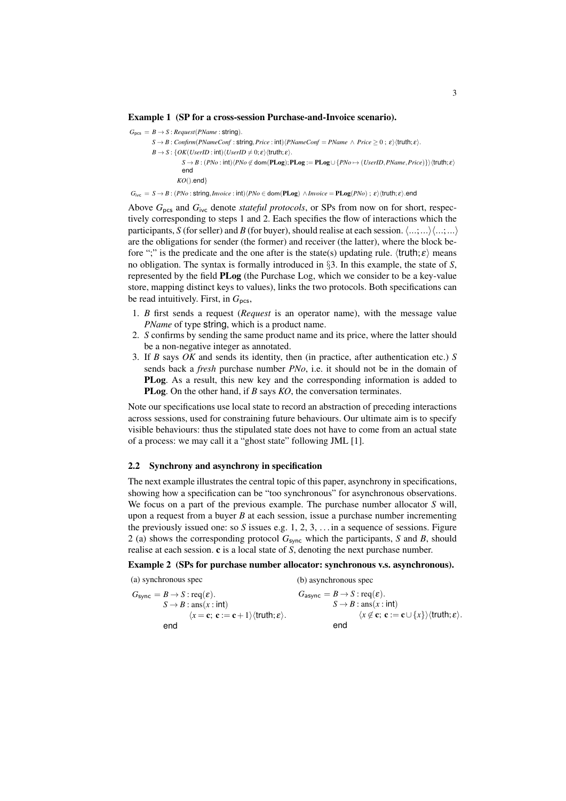#### Example 1 (SP for a cross-session Purchase-and-Invoice scenario).

 $G_{\text{pcc}} = B \rightarrow S : \textit{Request}(PName : \text{string})$ .  $S \rightarrow B$ : *Confirm*(*PNameConf*: **string**, *Price* : int) $\langle PNameConf = PName \land Price \ge 0; \varepsilon \rangle \langle truth; \varepsilon \rangle$ .  $B \rightarrow S$ : {*OK*(*UserID* : int) $\langle UserID \neq 0; \varepsilon \rangle$  {truth;  $\varepsilon$ }.  $S \rightarrow B : (PNo : \text{int})\langle PNo \not\in \text{dom}(\text{PLog}); \text{PLog} := \text{PLog} \cup \{PNo \mapsto (UseIID, PName, Price)\}\rangle$  (truth;  $\varepsilon$ ) end *KO*()*.*end*}*

 $G_{\text{inc}} = S \rightarrow B : (PNo: \text{string}, \text{Invoice}: \text{int}) \langle PNo \in \text{dom}(\text{PLog}) \land \text{Invoice} = \text{PLog}(\text{PNo}): \varepsilon \rangle \langle \text{truth}; \varepsilon \rangle \text{.}$ end

Above *G*pcs and *G*ivc denote *stateful protocols*, or SPs from now on for short, respectively corresponding to steps 1 and 2. Each specifies the flow of interactions which the participants, *S* (for seller) and *B* (for buyer), should realise at each session.  $\langle ...;... \rangle \langle ...;... \rangle$ are the obligations for sender (the former) and receiver (the latter), where the block before ";" is the predicate and the one after is the state(s) updating rule.  $\langle$ truth;  $\varepsilon$  $\rangle$  means no obligation. The syntax is formally introduced in *§*3. In this example, the state of *S*, represented by the field PLog (the Purchase Log, which we consider to be a key-value store, mapping distinct keys to values), links the two protocols. Both specifications can be read intuitively. First, in  $G_{\text{pcs}}$ ,

- 1. *B* first sends a request (*Request* is an operator name), with the message value *PName* of type string, which is a product name.
- 2. *S* confirms by sending the same product name and its price, where the latter should be a non-negative integer as annotated.
- 3. If *B* says *OK* and sends its identity, then (in practice, after authentication etc.) *S* sends back a *fresh* purchase number *PNo*, i.e. it should not be in the domain of PLog. As a result, this new key and the corresponding information is added to PLog. On the other hand, if *B* says *KO*, the conversation terminates.

Note our specifications use local state to record an abstraction of preceding interactions across sessions, used for constraining future behaviours. Our ultimate aim is to specify visible behaviours: thus the stipulated state does not have to come from an actual state of a process: we may call it a "ghost state" following JML [1].

#### 2.2 Synchrony and asynchrony in specification

The next example illustrates the central topic of this paper, asynchrony in specifications, showing how a specification can be "too synchronous" for asynchronous observations. We focus on a part of the previous example. The purchase number allocator *S* will, upon a request from a buyer *B* at each session, issue a purchase number incrementing the previously issued one: so *S* issues e.g. 1, 2, 3, . . . in a sequence of sessions. Figure 2 (a) shows the corresponding protocol *G*sync which the participants, *S* and *B*, should realise at each session. c is a local state of *S*, denoting the next purchase number.

## Example 2 (SPs for purchase number allocator: synchronous v.s. asynchronous).

(a) synchronous spec

(b) asynchronous spec

| $G_{\text{sync}} = B \rightarrow S$ : req( $\varepsilon$ ).                                                  | $G_{\text{async}} = B \rightarrow S$ : req( $\varepsilon$ ).                                                             |
|--------------------------------------------------------------------------------------------------------------|--------------------------------------------------------------------------------------------------------------------------|
| $S \rightarrow B$ : ans $(x : \text{int})$                                                                   | $S \rightarrow B$ : ans $(x : \text{int})$                                                                               |
| $\langle x = \mathbf{c}; \, \mathbf{c} := \mathbf{c} + 1 \rangle \langle \text{truth}; \varepsilon \rangle.$ | $\langle x \notin \mathbf{c}; \, \mathbf{c} := \mathbf{c} \cup \{x\} \rangle \langle \text{truth}; \varepsilon \rangle.$ |
| end                                                                                                          | end                                                                                                                      |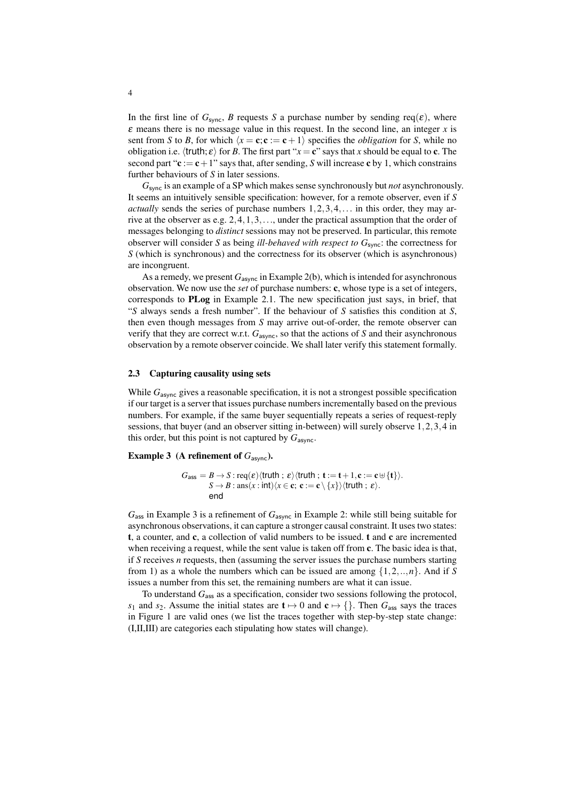In the first line of  $G_{\text{sync}}$ , *B* requests *S* a purchase number by sending req( $\varepsilon$ ), where  $\varepsilon$  means there is no message value in this request. In the second line, an integer  $x$  is sent from *S* to *B*, for which  $\langle x = \mathbf{c}; \mathbf{c} := \mathbf{c} + 1 \rangle$  specifies the *obligation* for *S*, while no obligation i.e.  $\langle \text{truth}; \varepsilon \rangle$  for *B*. The first part " $x = \mathbf{c}$ " says that *x* should be equal to **c**. The second part " $c := c + 1$ " says that, after sending, *S* will increase c by 1, which constrains further behaviours of *S* in later sessions.

*G*sync is an example of a SP which makes sense synchronously but *not* asynchronously. It seems an intuitively sensible specification: however, for a remote observer, even if *S actually* sends the series of purchase numbers 1*,*2*,*3*,*4*,...* in this order, they may arrive at the observer as e.g. 2*,*4*,*1*,*3*,...*, under the practical assumption that the order of messages belonging to *distinct* sessions may not be preserved. In particular, this remote observer will consider *S* as being *ill-behaved with respect to G*sync: the correctness for *S* (which is synchronous) and the correctness for its observer (which is asynchronous) are incongruent.

As a remedy, we present  $G_{\text{async}}$  in Example 2(b), which is intended for asynchronous observation. We now use the *set* of purchase numbers: c, whose type is a set of integers, corresponds to PLog in Example 2.1. The new specification just says, in brief, that "*S* always sends a fresh number". If the behaviour of *S* satisfies this condition at *S*, then even though messages from *S* may arrive out-of-order, the remote observer can verify that they are correct w.r.t. *G*async, so that the actions of *S* and their asynchronous observation by a remote observer coincide. We shall later verify this statement formally.

#### 2.3 Capturing causality using sets

While  $G_{\text{async}}$  gives a reasonable specification, it is not a strongest possible specification if our target is a server that issues purchase numbers incrementally based on the previous numbers. For example, if the same buyer sequentially repeats a series of request-reply sessions, that buyer (and an observer sitting in-between) will surely observe 1*,*2*,*3*,*4 in this order, but this point is not captured by  $G_{\text{async}}$ .

### Example 3 (A refinement of  $G_{\text{async}}$ ).

$$
G_{\text{ass}} = B \rightarrow S : \text{req}(\varepsilon) \langle \text{truth} \, ; \, \varepsilon \rangle \langle \text{truth} \, ; \, \mathbf{t} := \mathbf{t} + 1, \mathbf{c} := \mathbf{c} \cup \{ \mathbf{t} \} \rangle.
$$
\n
$$
S \rightarrow B : \text{ans}(x : \text{int}) \langle x \in \mathbf{c}; \, \mathbf{c} := \mathbf{c} \setminus \{x\} \rangle \langle \text{truth} \, ; \, \varepsilon \rangle.
$$
\n
$$
\text{end}
$$

*G*ass in Example 3 is a refinement of *G*async in Example 2: while still being suitable for asynchronous observations, it can capture a stronger causal constraint. It uses two states: t, a counter, and c, a collection of valid numbers to be issued,  $t$  and  $c$  are incremented when receiving a request, while the sent value is taken off from c. The basic idea is that, if *S* receives *n* requests, then (assuming the server issues the purchase numbers starting from 1) as a whole the numbers which can be issued are among *{*1*,*2*,..,n}*. And if *S* issues a number from this set, the remaining numbers are what it can issue.

To understand *G*ass as a specification, consider two sessions following the protocol, *s*<sub>1</sub> and *s*<sub>2</sub>. Assume the initial states are  $t \mapsto 0$  and  $c \mapsto \{\}$ . Then  $G_{\text{ass}}$  says the traces in Figure 1 are valid ones (we list the traces together with step-by-step state change: (I,II,III) are categories each stipulating how states will change).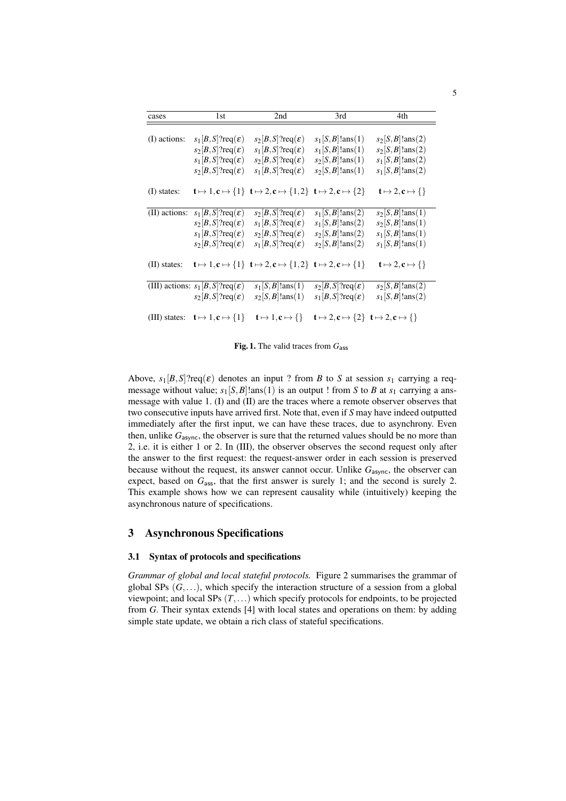| cases          | 1st                                                            | 2nd                                                                                                                                                  | 3rd                                                                                              | 4th                            |
|----------------|----------------------------------------------------------------|------------------------------------------------------------------------------------------------------------------------------------------------------|--------------------------------------------------------------------------------------------------|--------------------------------|
| (I) actions:   | $s_1 B,S ?req(\varepsilon)$                                    | $s_2 B,S ?req(\varepsilon)$                                                                                                                          | $s_1$ [S, B]!ans(1)                                                                              | $s_2 S, B !$ lans (2)          |
|                | $s_2[B,S]$ ?req $(\varepsilon)$                                | $s_1[B,S]$ ?req $(\varepsilon)$                                                                                                                      | $s_1[S, B]$ !ans(1)                                                                              | $s_2$ [S, B]!ans(2)            |
|                | $s_1[B,S]$ ?req $(\varepsilon)$                                | $s_2[B,S]$ ?req $(\varepsilon)$                                                                                                                      | $s_2[S, B]$ !ans $(1)$                                                                           | $s_1$ [S, B]!ans(2)            |
|                | $s_2[B,S]$ ?req $(\varepsilon)$                                | $s_1[B,S]$ ?req $(\varepsilon)$                                                                                                                      | $s_2[S, B]$ !ans(1)                                                                              | $s_1[S, B]$ !ans(2)            |
| $(I)$ states:  |                                                                | $\mathbf{t} \mapsto 1, \mathbf{c} \mapsto \{1\}$ $\mathbf{t} \mapsto 2, \mathbf{c} \mapsto \{1,2\}$ $\mathbf{t} \mapsto 2, \mathbf{c} \mapsto \{2\}$ |                                                                                                  | $t \mapsto 2, c \mapsto \{\}\$ |
| (II) actions:  | $s_1[B,S]$ ?req $(\varepsilon)$                                | $s_2[B,S]$ ?req $(\varepsilon)$                                                                                                                      | $s_1[S, B]$ !ans(2)                                                                              | $s_2[S, B]$ !ans $(1)$         |
|                | $s_2[B,S]$ ?req $(\varepsilon)$                                | $s_1[B,S]$ ?req $(\varepsilon)$                                                                                                                      | $s_1[S, B]$ !ans(2)                                                                              | $s_2$ [S, B]!ans(1)            |
|                | $s_1[B,S]$ ?req $(\varepsilon)$                                | $s_2[B,S]$ ?req $(\varepsilon)$                                                                                                                      | $s_2[S, B]$ !ans(2)                                                                              | $s_1[S, B]$ !ans(1)            |
|                | $s_2[B,S]$ ?req $(\varepsilon)$                                | $s_1[B,S]$ ?req $(\varepsilon)$                                                                                                                      | $s_2[S, B]$ !ans(2)                                                                              | $s_1[S, B]$ !ans $(1)$         |
| $(II)$ states: |                                                                | $\mathbf{t} \mapsto 1, \mathbf{c} \mapsto \{1\}$ $\mathbf{t} \mapsto 2, \mathbf{c} \mapsto \{1,2\}$ $\mathbf{t} \mapsto 2, \mathbf{c} \mapsto \{1\}$ |                                                                                                  | $t \mapsto 2, c \mapsto \{\}\$ |
|                | (III) actions: $s_1  B, S $ ?req $(\varepsilon)$               | $s_1[S, B]$ !ans $(1)$                                                                                                                               | $s_2[B,S]$ ?req $(\varepsilon)$                                                                  | $s_2$ [S, B]!ans(2)            |
|                | $s_2[B,S]$ ?req $(\varepsilon)$                                | $s_2[S, B]$ !ans $(1)$                                                                                                                               | $s_1[B,S]$ ?req $(\varepsilon)$                                                                  | $s_1[S, B]$ !ans(2)            |
|                | (III) states: $\mathbf{t} \mapsto 1, \mathbf{c} \mapsto \{1\}$ | $t \mapsto 1, c \mapsto \{\}\$                                                                                                                       | $\mathbf{t} \mapsto 2, \mathbf{c} \mapsto \{2\}$ $\mathbf{t} \mapsto 2, \mathbf{c} \mapsto \{\}$ |                                |

Fig. 1. The valid traces from  $G_{\text{ass}}$ 

Above,  $s_1[B,S]$ ?req( $\varepsilon$ ) denotes an input ? from *B* to *S* at session  $s_1$  carrying a reqmessage without value;  $s_1[S, B]$ !ans(1) is an output ! from *S* to *B* at  $s_1$  carrying a ansmessage with value 1. (I) and (II) are the traces where a remote observer observes that two consecutive inputs have arrived first. Note that, even if *S* may have indeed outputted immediately after the first input, we can have these traces, due to asynchrony. Even then, unlike *G*async, the observer is sure that the returned values should be no more than 2, i.e. it is either 1 or 2. In (III), the observer observes the second request only after the answer to the first request: the request-answer order in each session is preserved because without the request, its answer cannot occur. Unlike  $G_{\text{async}}$ , the observer can expect, based on  $G<sub>ass</sub>$ , that the first answer is surely 1; and the second is surely 2. This example shows how we can represent causality while (intuitively) keeping the asynchronous nature of specifications.

## 3 Asynchronous Specifications

### 3.1 Syntax of protocols and specifications

*Grammar of global and local stateful protocols.* Figure 2 summarises the grammar of global SPs (*G,...*), which specify the interaction structure of a session from a global viewpoint; and local SPs (*T,...*) which specify protocols for endpoints, to be projected from *G*. Their syntax extends [4] with local states and operations on them: by adding simple state update, we obtain a rich class of stateful specifications.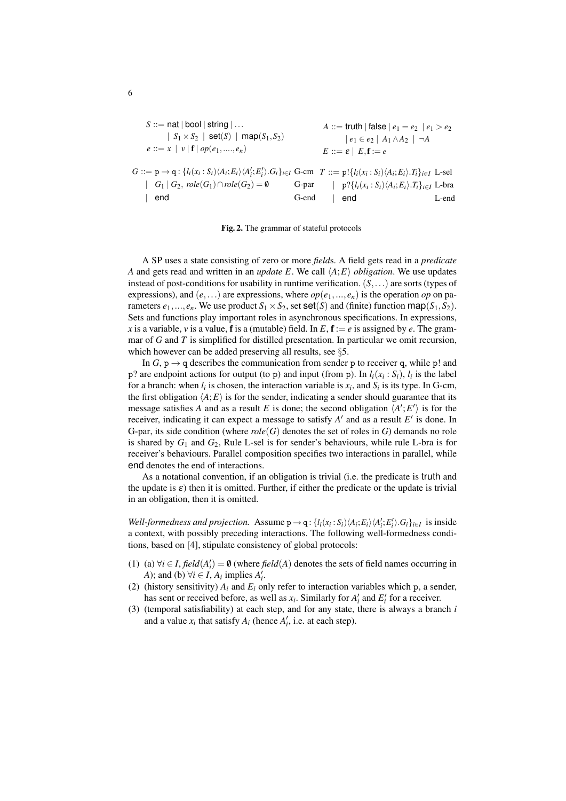$$
S ::= \text{nat} | \text{bool} | \text{string} | \dots
$$
\n
$$
A ::= \text{truth} | \text{false} | e_1 = e_2 | e_1 > e_2
$$
\n
$$
e ::= x | v | \textbf{f} | op(e_1, ..., e_n)
$$
\n
$$
G ::= p \rightarrow q : \{l_i(x_i : S_i) \langle A_i; E_i \rangle \langle A_i'; E_i' \rangle \cdot G_i\}_{i \in I} \text{ G-cm} \quad T ::= p! \{l_i(x_i : S_i) \langle A_i; E_i \rangle \cdot T_i\}_{i \in I} \text{ L-sel}
$$
\n
$$
G | G_1 | G_2, \text{role}(G_1) \cap \text{role}(G_2) = \emptyset \qquad \text{G-par} \qquad | p? \{l_i(x_i : S_i) \langle A_i; E_i \rangle \cdot T_i\}_{i \in I} \text{ L-bra}
$$
\n
$$
G-end \qquad \qquad \text{end} \qquad \qquad \text{L-end}
$$

Fig. 2. The grammar of stateful protocols

A SP uses a state consisting of zero or more *field*s. A field gets read in a *predicate A* and gets read and written in an *update E*. We call  $\langle A; E \rangle$  *obligation*. We use updates instead of post-conditions for usability in runtime verification. (*S,...*) are sorts (types of expressions), and  $(e, \ldots)$  are expressions, where  $op(e_1, \ldots, e_n)$  is the operation *op* on parameters  $e_1, ..., e_n$ . We use product  $S_1 \times S_2$ , set  $\text{set}(S)$  and (finite) function map( $S_1, S_2$ ). Sets and functions play important roles in asynchronous specifications. In expressions, *x* is a variable, *v* is a value, **f** is a (mutable) field. In  $E$ ,  $\mathbf{f} := e$  is assigned by *e*. The grammar of *G* and *T* is simplified for distilled presentation. In particular we omit recursion, which however can be added preserving all results, see *§*5.

In  $G$ ,  $p \rightarrow q$  describes the communication from sender p to receiver q, while p! and p? are endpoint actions for output (to p) and input (from p). In  $l_i(x_i : S_i)$ ,  $l_i$  is the label for a branch: when  $l_i$  is chosen, the interaction variable is  $x_i$ , and  $S_i$  is its type. In G-cm, the first obligation  $\langle A; E \rangle$  is for the sender, indicating a sender should guarantee that its message satisfies *A* and as a result *E* is done; the second obligation  $\langle A', E' \rangle$  is for the receiver, indicating it can expect a message to satisfy  $A'$  and as a result  $E'$  is done. In G-par, its side condition (where  $role(G)$  denotes the set of roles in  $G$ ) demands no role is shared by  $G_1$  and  $G_2$ , Rule L-sel is for sender's behaviours, while rule L-bra is for receiver's behaviours. Parallel composition specifies two interactions in parallel, while end denotes the end of interactions.

As a notational convention, if an obligation is trivial (i.e. the predicate is truth and the update is  $\varepsilon$ ) then it is omitted. Further, if either the predicate or the update is trivial in an obligation, then it is omitted.

*Well-formedness and projection.* Assume  $p \rightarrow q$ :  $\{l_i(x_i : S_i) \langle A_i; E_i \rangle \langle A'_i; E'_i \rangle \cdot G_i\}_{i \in I}$  is inside a context, with possibly preceding interactions. The following well-formedness conditions, based on [4], stipulate consistency of global protocols:

- (1) (a)  $\forall i \in I$ , *field*( $A'_i$ ) =  $\emptyset$  (where *field*( $A$ ) denotes the sets of field names occurring in *A*); and (b)  $\forall i \in I$ , *A<sub>i</sub>* implies *A*<sup> $\prime$ </sup><sub>*i*</sub>.
- (2) (history sensitivity)  $A_i$  and  $E_i$  only refer to interaction variables which p, a sender, has sent or received before, as well as  $x_i$ . Similarly for  $A'_i$  and  $E'_i$  for a receiver.
- (3) (temporal satisfiability) at each step, and for any state, there is always a branch *i* and a value  $x_i$  that satisfy  $A_i$  (hence  $A'_i$ , i.e. at each step).

6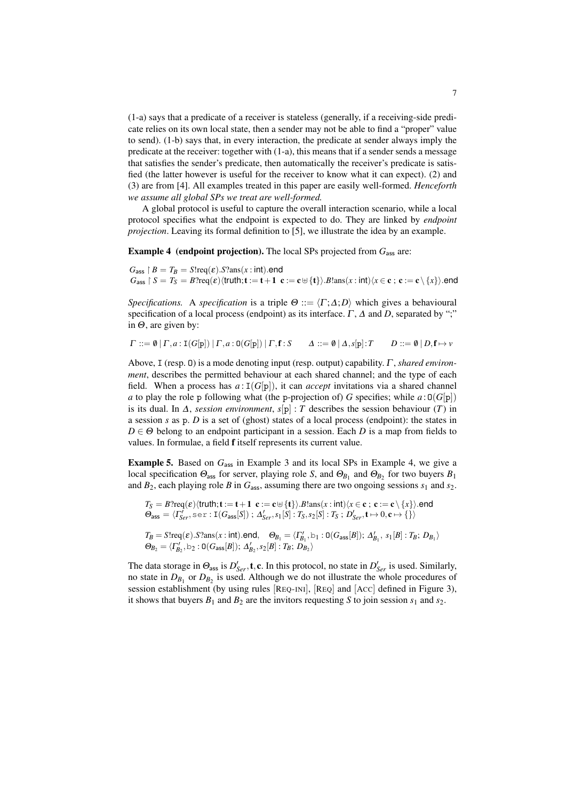(1-a) says that a predicate of a receiver is stateless (generally, if a receiving-side predicate relies on its own local state, then a sender may not be able to find a "proper" value to send). (1-b) says that, in every interaction, the predicate at sender always imply the predicate at the receiver: together with (1-a), this means that if a sender sends a message that satisfies the sender's predicate, then automatically the receiver's predicate is satisfied (the latter however is useful for the receiver to know what it can expect). (2) and (3) are from [4]. All examples treated in this paper are easily well-formed. *Henceforth we assume all global SPs we treat are well-formed.*

A global protocol is useful to capture the overall interaction scenario, while a local protocol specifies what the endpoint is expected to do. They are linked by *endpoint projection*. Leaving its formal definition to [5], we illustrate the idea by an example.

**Example 4 (endpoint projection).** The local SPs projected from  $G_{\text{ass}}$  are:

 $G_{\text{ass}}$   $\upharpoonright$  *B* = *T<sub>B</sub>* = *S*!req( $\varepsilon$ ).*S*?ans(*x* : int).end  $G_{\text{ass}} \restriction S = T_S = B$ ?req $(\varepsilon)$  $\langle \text{truth}; \mathbf{t} := \mathbf{t}+1 \ \mathbf{c} := \mathbf{c} \cup {\{\mathbf{t}\}}$ .*B*!ans $(x : \text{int}) \langle x \in \mathbf{c} : \mathbf{c} := \mathbf{c} \setminus {\{x\}} \rangle$ .end

*Specifications.* A *specification* is a triple  $\Theta ::= \langle \Gamma; \Delta; D \rangle$  which gives a behavioural specification of a local process (endpoint) as its interface.  $\Gamma$ ,  $\Delta$  and  $D$ , separated by ";" in  $\Theta$ , are given by:

$$
\Gamma ::= \emptyset \mid \Gamma, a : \mathbf{I}(G[\mathbf{p}]) \mid \Gamma, a : \mathbf{O}(G[\mathbf{p}]) \mid \Gamma, \mathbf{f} : S \qquad \Delta ::= \emptyset \mid \Delta, s[\mathbf{p}] : T \qquad D ::= \emptyset \mid D, \mathbf{f} \mapsto v
$$

Above, I (resp. 0) is a mode denoting input (resp. output) capability,  $\Gamma$ , *shared environment*, describes the permitted behaviour at each shared channel; and the type of each field. When a process has  $a: I(G[p])$ , it can *accept* invitations via a shared channel *a* to play the role p following what (the p-projection of) *G* specifies; while  $a:0(G[p])$ is its dual. In  $\Delta$ , *session environment*,  $s[p] : T$  describes the session behaviour (*T*) in a session *s* as p. *D* is a set of (ghost) states of a local process (endpoint): the states in  $D \in \Theta$  belong to an endpoint participant in a session. Each *D* is a map from fields to values. In formulae, a field f itself represents its current value.

**Example 5.** Based on  $G_{\text{ass}}$  in Example 3 and its local SPs in Example 4, we give a local specification  $\Theta_{\text{ass}}$  for server, playing role *S*, and  $\Theta_{B_1}$  and  $\Theta_{B_2}$  for two buyers  $B_1$ and  $B_2$ , each playing role *B* in  $G_{\text{ass}}$ , assuming there are two ongoing sessions  $s_1$  and  $s_2$ .

$$
T_S = B?req(\varepsilon) \langle \text{truth}; \mathbf{t} := \mathbf{t} + \mathbf{1} \mathbf{c} := \mathbf{c} \oplus \{\mathbf{t}\}\rangle. B!ans(x : \text{int}) \langle x \in \mathbf{c} \, ; \, \mathbf{c} := \mathbf{c} \setminus \{x\}\rangle. \text{end}
$$

$$
\Theta_{\text{ass}} = \langle \Gamma'_{Ser}, \text{ser} : \mathbf{I}(G_{\text{ass}}[S]) ; \Delta'_{Ser}, s_1[S] : T_S, s_2[S] : T_S ; D'_{Ser}, \mathbf{t} \mapsto 0, \mathbf{c} \mapsto \{\}\rangle
$$

$$
T_B = \text{S1req}(\varepsilon) . S?ans(x : \text{int).end}, \quad \Theta_{B_1} = \langle \Gamma'_{B_1}, \mathbf{b}_1 : \mathbf{O}(G_{\text{ass}}[B]); \Delta'_{B_1}, s_1[B] : T_B; D_{B_1} \rangle
$$
  

$$
\Theta_{B_2} = \langle \Gamma'_{B_2}, \mathbf{b}_2 : \mathbf{O}(G_{\text{ass}}[B]); \Delta'_{B_2}, s_2[B] : T_B; D_{B_2} \rangle
$$

The data storage in  $\Theta_{\text{ass}}$  is  $D'_{Ser}$ , **t**, **c**. In this protocol, no state in  $D'_{Ser}$  is used. Similarly, no state in  $D_{B_1}$  or  $D_{B_2}$  is used. Although we do not illustrate the whole procedures of session establishment (by using rules [REQ-INI], [REQ] and [ACC] defined in Figure 3), it shows that buyers  $B_1$  and  $B_2$  are the invitors requesting *S* to join session  $s_1$  and  $s_2$ .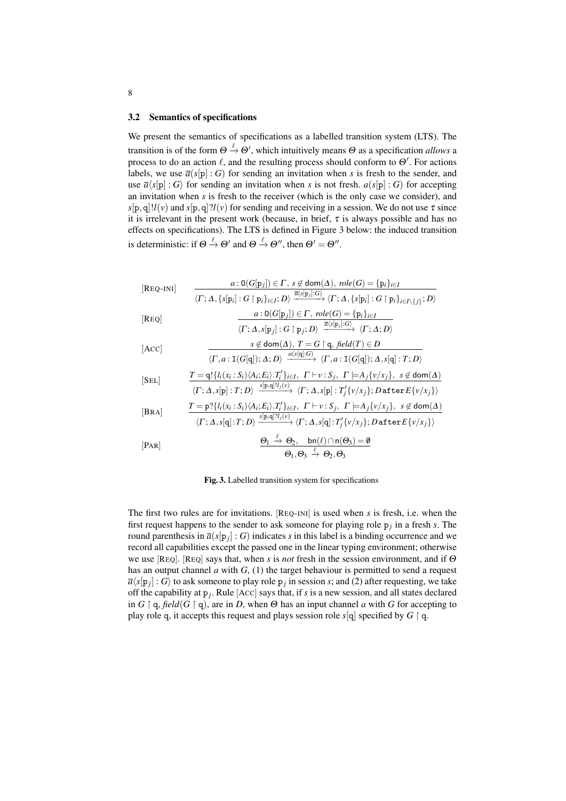#### 3.2 Semantics of specifications

We present the semantics of specifications as a labelled transition system (LTS). The transition is of the form  $\Theta \stackrel{\ell}{\to} \Theta'$ , which intuitively means  $\Theta$  as a specification *allows* a process to do an action  $\ell$ , and the resulting process should conform to  $\Theta'$ . For actions labels, we use  $\overline{a}(s[\mathbf{p}]:G)$  for sending an invitation when *s* is fresh to the sender, and use  $\overline{a}(s[p] : G)$  for sending an invitation when *s* is not fresh.  $a(s[p] : G)$  for accepting an invitation when *s* is fresh to the receiver (which is the only case we consider), and  $s[p,q]$ ! $l(v)$  and  $s[p,q]$ ? $l(v)$  for sending and receiving in a session. We do not use  $\tau$  since it is irrelevant in the present work (because, in brief,  $\tau$  is always possible and has no effects on specifications). The LTS is defined in Figure 3 below: the induced transition is deterministic: if  $\Theta \xrightarrow{\ell} \Theta'$  and  $\Theta \xrightarrow{\ell} \Theta''$ , then  $\Theta' = \Theta''$ .

$$
[{\rm REQ-INI}] \qquad \frac{a: \mathsf{O}(G[\mathbf{p}_j]) \in \Gamma, \ s \notin \mathsf{dom}(\Delta), \ role(G) = \{\mathbf{p}_i\}_{i \in I}}{\langle \Gamma; \Delta, \{s[\mathbf{p}_i] : G \upharpoonright \mathbf{p}_i\}_{i \in I}, D\rangle} \xrightarrow{\overline{a(s[\mathbf{p}_j]:G)}} \langle \Gamma; \Delta, \{s[\mathbf{p}_i] : G \upharpoonright \mathbf{p}_i\}_{i \in I\setminus\{j\}}; D\rangle}
$$

[**Reg**] 
$$
\frac{a: \mathsf{O}(G[\mathbf{p}_j]) \in \Gamma, \; role(G) = {\mathsf{p}_i}_{i \in I}}{\langle \Gamma; \Delta, s[\mathbf{p}_j] : G \upharpoonright \mathbf{p}_j; D\rangle} \xrightarrow{\overline{a}\langle s[\mathbf{p}_j] : G\rangle} \langle \Gamma; \Delta; D\rangle}
$$

[ACC]  

$$
\frac{s \notin \text{dom}(\Delta), T = G \upharpoonright q, \text{field}(T) \in D}{\langle \Gamma, a : \text{I}(G[q]); \Delta; D) \xrightarrow{a(s[q]:G)} \langle \Gamma, a : \text{I}(G[q]); \Delta, s[q] : T; D \rangle}
$$

$$
\begin{array}{lll} [\text{SEL}] & T = \mathbf{q}! \{ l_i(x_i : S_i) \langle A_i; E_i \rangle \cdot T_i' \}_{i \in I}, \ \Gamma \vdash v : S_j, \ \Gamma \models A_j \{ v/x_j \}, \ \ s \not\in \text{dom}(\Delta) \\ & \langle \Gamma; \Delta, s[\mathbf{p}] : T, D \rangle \xrightarrow{s[\mathbf{p}, \mathbf{q}]! l_j(v)} \langle \Gamma; \Delta, s[\mathbf{p}] : T_j' \{ v/x_j \}; D \ \text{after} \ E \{ v/x_j \} \rangle \end{array}
$$

$$
\begin{array}{lll} \text{[BRA]} & T = \mathbf{p}?\{I_i(x_i : S_i) \langle A_i; E_i \rangle \cdot T_i' \}_{i \in I}, \quad \Gamma \vdash v : S_j, \quad \Gamma \models A_j \{v/x_j\}, \quad s \notin \text{dom}(\Delta) \\ & \langle \Gamma; \Delta, s[\mathbf{q}] : T; D \rangle \xrightarrow{s[\mathbf{p}, \mathbf{q}] \, ?I_j(v)} \langle \Gamma; \Delta, s[\mathbf{q}] : T_j' \{v/x_j\}; D \text{after } E\{v/x_j\} \rangle \end{array}
$$

$$
\begin{array}{ccc}\n\mathbf{[} \text{PAR}]\n\end{array}\n\qquad\n\begin{array}{c}\n\mathbf{\Theta}_1 \xrightarrow{\ell} \mathbf{\Theta}_2, & \text{bn}(\ell) \cap \mathsf{n}(\mathbf{\Theta}_3) = \mathbf{0} \\
\mathbf{\Theta}_1, \mathbf{\Theta}_3 \xrightarrow{\ell} \mathbf{\Theta}_2, \mathbf{\Theta}_3\n\end{array}
$$

Fig. 3. Labelled transition system for specifications

The first two rules are for invitations. [REQ-INI] is used when *s* is fresh, i.e. when the first request happens to the sender to ask someone for playing role  $p_j$  in a fresh *s*. The round parenthesis in  $\overline{a}(s[p_i] : G)$  indicates *s* in this label is a binding occurrence and we record all capabilities except the passed one in the linear typing environment; otherwise we use [REQ]. [REQ] says that, when  $s$  is *not* fresh in the session environment, and if  $\Theta$ has an output channel *a* with *G*, (1) the target behaviour is permitted to send a request  $\overline{a}\langle s[p_i]:G\rangle$  to ask someone to play role  $p_i$  in session *s*; and (2) after requesting, we take off the capability at p*j*. Rule [ACC] says that, if *s* is a new session, and all states declared in  $G \restriction q$ , field  $(G \restriction q)$ , are in *D*, when  $\Theta$  has an input channel *a* with *G* for accepting to play role q, it accepts this request and plays session role  $s[q]$  specified by  $G \restriction q$ .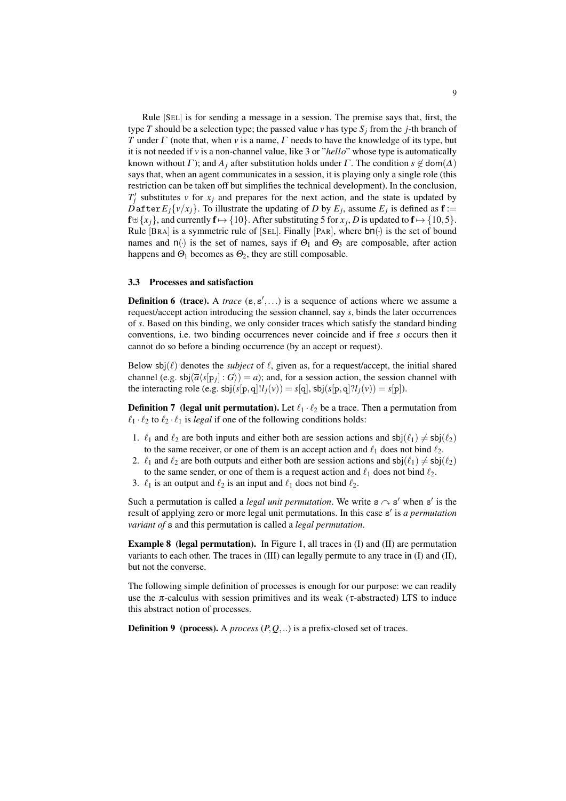Rule [SEL] is for sending a message in a session. The premise says that, first, the type *T* should be a selection type; the passed value *v* has type  $S_i$  from the *j*-th branch of *T* under  $\Gamma$  (note that, when *v* is a name,  $\Gamma$  needs to have the knowledge of its type, but it is not needed if *v* is a non-channel value, like 3 or "*hello*" whose type is automatically known without  $\Gamma$ ); and  $A_i$  after substitution holds under  $\Gamma$ . The condition  $s \notin \text{dom}(\Delta)$ says that, when an agent communicates in a session, it is playing only a single role (this restriction can be taken off but simplifies the technical development). In the conclusion,  $T_j'$  substitutes *v* for  $x_j$  and prepares for the next action, and the state is updated by *D*after  $E_i\{v/x_i\}$ . To illustrate the updating of *D* by  $E_i$ , assume  $E_j$  is defined as  $f :=$  $f \oplus \{x_j\}$ , and currently  $f \mapsto \{10\}$ . After substituting 5 for  $x_j$ , *D* is updated to  $f \mapsto \{10, 5\}$ . Rule [BRA] is a symmetric rule of [SEL]. Finally [PAR], where bn(*·*) is the set of bound names and  $n(\cdot)$  is the set of names, says if  $\Theta_1$  and  $\Theta_3$  are composable, after action happens and  $\Theta_1$  becomes as  $\Theta_2$ , they are still composable.

#### 3.3 Processes and satisfaction

**Definition 6 (trace).** A *trace*  $(s, s', \ldots)$  is a sequence of actions where we assume a request/accept action introducing the session channel, say *s*, binds the later occurrences of *s*. Based on this binding, we only consider traces which satisfy the standard binding conventions, i.e. two binding occurrences never coincide and if free *s* occurs then it cannot do so before a binding occurrence (by an accept or request).

Below  $\text{sb}(l)$  denotes the *subject* of  $l$ , given as, for a request/accept, the initial shared channel (e.g.  $\text{sbj}(\overline{a}\langle s[p_i] : G \rangle) = a$ ); and, for a session action, the session channel with the interacting role (e.g.  $\text{sb}(s[p,q]!l_j(v)) = s[q], \text{sb}(s[p,q]!l_j(v)) = s[p]).$ 

**Definition 7** (legal unit permutation). Let  $\ell_1 \cdot \ell_2$  be a trace. Then a permutation from  $\ell_1 \cdot \ell_2$  to  $\ell_2 \cdot \ell_1$  is *legal* if one of the following conditions holds:

- 1.  $\ell_1$  and  $\ell_2$  are both inputs and either both are session actions and  $sbj(\ell_1) \neq sbj(\ell_2)$ to the same receiver, or one of them is an accept action and  $\ell_1$  does not bind  $\ell_2$ .
- 2.  $\ell_1$  and  $\ell_2$  are both outputs and either both are session actions and  $sbj(\ell_1) \neq sbj(\ell_2)$ to the same sender, or one of them is a request action and  $\ell_1$  does not bind  $\ell_2$ .
- 3.  $\ell_1$  is an output and  $\ell_2$  is an input and  $\ell_1$  does not bind  $\ell_2$ .

Such a permutation is called a *legal unit permutation*. We write  $s \sim s'$  when s' is the result of applying zero or more legal unit permutations. In this case s' is *a permutation variant of* s and this permutation is called a *legal permutation*.

**Example 8** (legal permutation). In Figure 1, all traces in  $(I)$  and  $(II)$  are permutation variants to each other. The traces in (III) can legally permute to any trace in (I) and (II), but not the converse.

The following simple definition of processes is enough for our purpose: we can readily use the  $\pi$ -calculus with session primitives and its weak ( $\tau$ -abstracted) LTS to induce this abstract notion of processes.

Definition 9 (process). A *process* (*P,Q,..*) is a prefix-closed set of traces.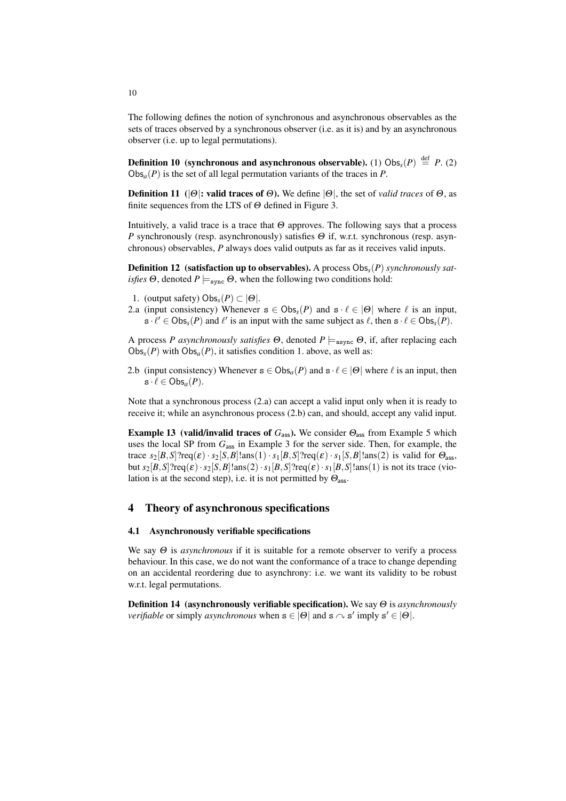The following defines the notion of synchronous and asynchronous observables as the sets of traces observed by a synchronous observer (i.e. as it is) and by an asynchronous observer (i.e. up to legal permutations).

**Definition 10** (synchronous and asynchronous observable). (1)  $\text{Obs}_{\mathcal{S}}(P) \stackrel{\text{def}}{=} P$ . (2)  $Obs_a(P)$  is the set of all legal permutation variants of the traces in *P*.

**Definition 11** ( $|\Theta|$ : valid traces of  $\Theta$ ). We define  $|\Theta|$ , the set of *valid traces* of  $\Theta$ , as finite sequences from the LTS of  $\Theta$  defined in Figure 3.

Intuitively, a valid trace is a trace that  $\Theta$  approves. The following says that a process *P* synchronously (resp. asynchronously) satisfies  $\Theta$  if, w.r.t. synchronous (resp. asynchronous) observables, *P* always does valid outputs as far as it receives valid inputs.

Definition 12 (satisfaction up to observables). A process Obs*s*(*P*) *synchronously satisfies*  $\Theta$ , denoted  $P \models_{\text{sync}} \Theta$ , when the following two conditions hold:

- 1. (output safety)  $Obs_s(P) \subset |\Theta|$ .
- 2.a (input consistency) Whenever  $s \in \text{Obs}_s(P)$  and  $s \cdot \ell \in |Q|$  where  $\ell$  is an input,  $s \cdot \ell' \in \text{Obs}_s(P)$  and  $\ell'$  is an input with the same subject as  $\ell$ , then  $s \cdot \ell \in \text{Obs}_s(P)$ .

A process *P* asynchronously satisfies  $\Theta$ , denoted  $P \models_{\text{async}} \Theta$ , if, after replacing each  $Obs<sub>s</sub>(P)$  with  $Obs<sub>a</sub>(P)$ , it satisfies condition 1. above, as well as:

2.b (input consistency) Whenever  $s \in \text{Obs}_a(P)$  and  $s \cdot \ell \in |\Theta|$  where  $\ell$  is an input, then  $s \cdot \ell \in \mathrm{Obs}_{a}(P).$ 

Note that a synchronous process (2.a) can accept a valid input only when it is ready to receive it; while an asynchronous process (2.b) can, and should, accept any valid input.

**Example 13** (valid/invalid traces of  $G_{\text{ass}}$ ). We consider  $\Theta_{\text{ass}}$  from Example 5 which uses the local SP from *G*ass in Example 3 for the server side. Then, for example, the trace  $s_2[B,S]$ ?req( $\varepsilon$ ) ·  $s_2[S,B]$ !ans(1) ·  $s_1[B,S]$ ?req( $\varepsilon$ ) ·  $s_1[S,B]$ !ans(2) is valid for  $\Theta_{\text{ass}}$ , but  $s_2[B,S]$ ?req( $\varepsilon$ ) ·  $s_2[S,B]$ !ans(2) ·  $s_1[B,S]$ ?req( $\varepsilon$ ) ·  $s_1[B,S]$ !ans(1) is not its trace (violation is at the second step), i.e. it is not permitted by  $\Theta_{\text{ass}}$ .

# 4 Theory of asynchronous specifications

## 4.1 Asynchronously verifiable specifications

We say  $\Theta$  is *asynchronous* if it is suitable for a remote observer to verify a process behaviour. In this case, we do not want the conformance of a trace to change depending on an accidental reordering due to asynchrony: i.e. we want its validity to be robust w.r.t. legal permutations.

Definition 14 (asynchronously verifiable specification). We say Q is *asynchronously verifiable* or simply *asynchronous* when  $\mathbf{s} \in |\Theta|$  and  $\mathbf{s} \sim \mathbf{s}'$  imply  $\mathbf{s}' \in |\Theta|$ .

10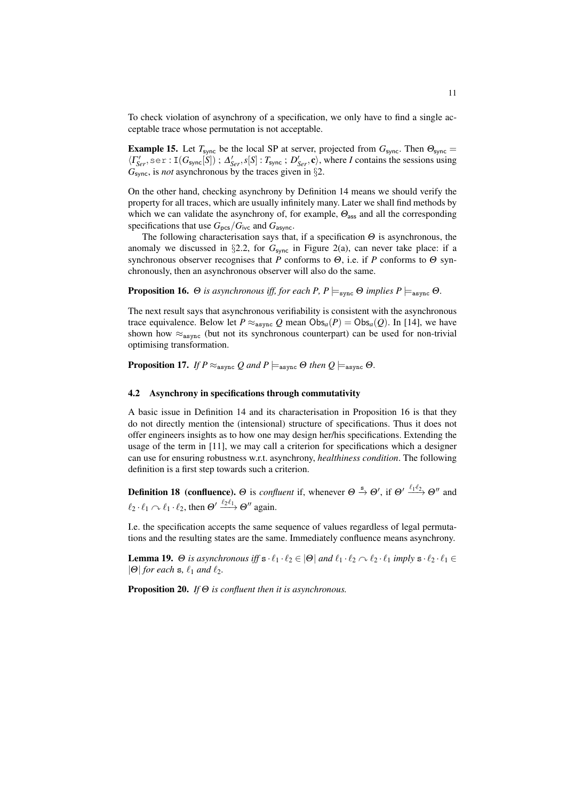To check violation of asynchrony of a specification, we only have to find a single acceptable trace whose permutation is not acceptable.

**Example 15.** Let  $T_{sync}$  be the local SP at server, projected from  $G_{sync}$ . Then  $\Theta_{sync}$  =  $\langle \Gamma_{Ser}^{\prime}, \text{ser}: I(G_{\text{sync}}[S]) ; \Delta_{Ser}^{\prime}, s[S] : T_{\text{sync}}; D_{Ser}^{\prime}, \mathbf{c} \rangle$ , where *I* contains the sessions using *G*sync, is *not* asynchronous by the traces given in *§*2.

On the other hand, checking asynchrony by Definition 14 means we should verify the property for all traces, which are usually infinitely many. Later we shall find methods by which we can validate the asynchrony of, for example,  $\Theta_{\text{ass}}$  and all the corresponding specifications that use  $G_{\text{pcs}}/G_{\text{ivc}}$  and  $G_{\text{asvnc}}$ .

The following characterisation says that, if a specification  $\Theta$  is asynchronous, the anomaly we discussed in  $\S2.2$ , for  $G_{sync}$  in Figure 2(a), can never take place: if a synchronous observer recognises that  $\overline{P}$  conforms to  $\Theta$ , i.e. if  $P$  conforms to  $\Theta$  synchronously, then an asynchronous observer will also do the same.

**Proposition 16.**  $\Theta$  *is asynchronous iff, for each P, P*  $\models_{\text{swapG}} \Theta$  *implies P*  $\models_{\text{async}} \Theta$ *.* 

The next result says that asynchronous verifiability is consistent with the asynchronous trace equivalence. Below let  $P \approx_{\text{async}} Q$  mean  $\text{Obs}_a(P) = \text{Obs}_a(Q)$ . In [14], we have shown how  $\approx_{\text{async}}$  (but not its synchronous counterpart) can be used for non-trivial optimising transformation.

**Proposition 17.** *If*  $P \approx_{\text{async}} Q$  and  $P \models_{\text{async}} \Theta$  *then*  $Q \models_{\text{async}} \Theta$ *.* 

#### 4.2 Asynchrony in specifications through commutativity

A basic issue in Definition 14 and its characterisation in Proposition 16 is that they do not directly mention the (intensional) structure of specifications. Thus it does not offer engineers insights as to how one may design her/his specifications. Extending the usage of the term in [11], we may call a criterion for specifications which a designer can use for ensuring robustness w.r.t. asynchrony, *healthiness condition*. The following definition is a first step towards such a criterion.

**Definition 18 (confluence).**  $\Theta$  is *confluent* if, whenever  $\Theta \stackrel{s}{\to} \Theta'$ , if  $\Theta' \stackrel{\ell_1 \ell_2}{\to} \Theta''$  and  $\ell_2 \cdot \ell_1 \curvearrowright \ell_1 \cdot \ell_2$ , then  $\Theta' \xrightarrow{\ell_2 \ell_1} \Theta''$  again.

I.e. the specification accepts the same sequence of values regardless of legal permutations and the resulting states are the same. Immediately confluence means asynchrony.

**Lemma 19.**  $\Theta$  is asynchronous iff  $\mathbf{s} \cdot \ell_1 \cdot \ell_2 \in |\Theta|$  and  $\ell_1 \cdot \ell_2 \cap \ell_2 \cdot \ell_1$  imply  $\mathbf{s} \cdot \ell_2 \cdot \ell_1 \in$  $|\Theta|$  *for each* **s**,  $\ell_1$  *and*  $\ell_2$ *.* 

Proposition 20. *If* Q *is confluent then it is asynchronous.*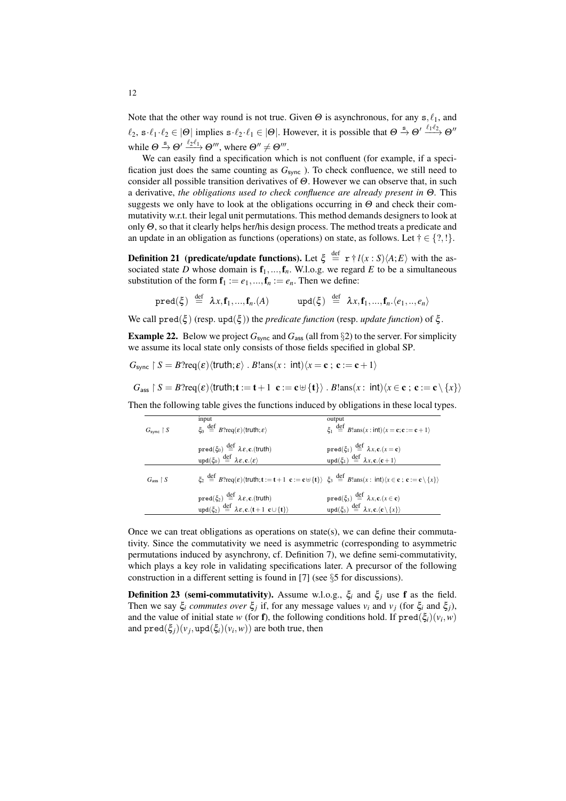Note that the other way round is not true. Given  $\Theta$  is asynchronous, for any  $s, \ell_1$ , and  $\ell_2$ ,  $s \cdot \ell_1 \cdot \ell_2 \in |\Theta|$  implies  $s \cdot \ell_2 \cdot \ell_1 \in |\Theta|$ . However, it is possible that  $\Theta \stackrel{s}{\to} \Theta' \stackrel{\ell_1 \cdot \ell_2}{\to} \Theta''$ while  $\Theta \stackrel{s}{\rightarrow} \Theta' \stackrel{\ell_2 \ell_1}{\longrightarrow} \Theta'''$ , where  $\Theta'' \neq \Theta'''$ .

We can easily find a specification which is not confluent (for example, if a specification just does the same counting as  $G_{\text{sync}}$  ). To check confluence, we still need to consider all possible transition derivatives of  $\Theta$ . However we can observe that, in such a derivative, *the obligations used to check confluence are already present in* Q*.* This suggests we only have to look at the obligations occurring in  $\Theta$  and check their commutativity w.r.t. their legal unit permutations. This method demands designers to look at only  $\Theta$ , so that it clearly helps her/his design process. The method treats a predicate and an update in an obligation as functions (operations) on state, as follows. Let  $\dagger \in \{?, !\}$ .

**Definition 21** (predicate/update functions). Let  $\xi \stackrel{\text{def}}{=} r \dagger l(x : S) \langle A; E \rangle$  with the associated state *D* whose domain is  $f_1, ..., f_n$ . W.l.o.g. we regard *E* to be a simultaneous substitution of the form  $f_1 := e_1, ..., f_n := e_n$ . Then we define:

$$
\text{pred}(\xi) \stackrel{\text{def}}{=} \lambda x, \mathbf{f}_1, ..., \mathbf{f}_n. (A) \quad \text{upd}(\xi) \stackrel{\text{def}}{=} \lambda x, \mathbf{f}_1, ..., \mathbf{f}_n. \langle e_1, ..., e_n \rangle
$$

We call  $pred(\xi)$  (resp.  $upd(\xi)$ ) the *predicate function* (resp. *update function*) of  $\xi$ .

**Example 22.** Below we project  $G_{\text{sync}}$  and  $G_{\text{ass}}$  (all from §2) to the server. For simplicity we assume its local state only consists of those fields specified in global SP.

$$
G_{\text{sync}} \restriction S = B?
$$
req( $\varepsilon$ ) $\langle \text{truth}; \varepsilon \rangle$ .  $B!$ ans( $x$ : int) $\langle x = \mathbf{c} ; \mathbf{c} := \mathbf{c} + 1 \rangle$ 

$$
G_{\text{ass}} \restriction S = B? \text{req}(\varepsilon) \langle \text{truth}; \mathbf{t} := \mathbf{t} + 1 \ \mathbf{c} := \mathbf{c} \oplus \{\mathbf{t}\}\rangle \ . \ B! \text{ans}(x : \text{int}) \langle x \in \mathbf{c} \, ; \, \mathbf{c} := \mathbf{c} \setminus \{x\}\rangle
$$

Then the following table gives the functions induced by obligations in these local types.

| $G_{\text{sync}} \restriction S$ | input<br>$\xi_0 \stackrel{\text{def}}{=} B$ ?req $(\varepsilon)$ $\langle \text{truth}; \varepsilon \rangle$                                                                                                                                                                                                       | output<br>$\xi_1 \stackrel{\text{def}}{=} B \cdot \text{ans}(x : \text{int}) \langle x = \mathbf{c}; \mathbf{c} := \mathbf{c} + 1 \rangle$ |
|----------------------------------|--------------------------------------------------------------------------------------------------------------------------------------------------------------------------------------------------------------------------------------------------------------------------------------------------------------------|--------------------------------------------------------------------------------------------------------------------------------------------|
|                                  | $pred(\xi_0) \stackrel{\text{def}}{=} \lambda \varepsilon$ , c. (truth)                                                                                                                                                                                                                                            | $\text{pred}(\xi_1) \stackrel{\text{def}}{=} \lambda x, \text{c}.(x=\text{c})$                                                             |
|                                  | $\text{upd}(\xi_0) \stackrel{\text{def}}{=} \lambda \varepsilon, \mathbf{c}. \langle \varepsilon \rangle$                                                                                                                                                                                                          | $\text{upd}(\xi_1) \stackrel{\text{def}}{=} \lambda x, \text{c.}\langle \text{c}+1 \rangle$                                                |
| $Gass$   $S$                     | $\xi_2 \stackrel{\text{def}}{=} B$ ?req $(\varepsilon)$ $\langle \text{truth}; \mathbf{t} := \mathbf{t} + 1 \mathbf{c} := \mathbf{c} \oplus \{\mathbf{t}\}\rangle \xi_3 \stackrel{\text{def}}{=} B \text{.} \text{ans}(x : \text{int}) \langle x \in \mathbf{c} ; \mathbf{c} := \mathbf{c} \setminus \{x\}\rangle$ |                                                                                                                                            |
|                                  | $pred(\xi_2) \stackrel{\text{def}}{=} \lambda \varepsilon$ , c. (truth)                                                                                                                                                                                                                                            | $\text{pred}(\xi_3) \stackrel{\text{def}}{=} \lambda x, \text{c}.(x \in \text{c})$                                                         |
|                                  | upd( $\xi_2$ ) $\stackrel{\text{def}}{=} \lambda \varepsilon, \mathbf{c}. \langle \mathbf{t} + 1, \mathbf{c} \cup \{\mathbf{t}\}\rangle$                                                                                                                                                                           | $\text{upd}(\xi_3) \stackrel{\text{def}}{=} \lambda x, \text{c.}\langle \text{c} \setminus \{x\} \rangle$                                  |

Once we can treat obligations as operations on state(s), we can define their commutativity. Since the commutativity we need is asymmetric (corresponding to asymmetric permutations induced by asynchrony, cf. Definition 7), we define semi-commutativity, which plays a key role in validating specifications later. A precursor of the following construction in a different setting is found in [7] (see *§*5 for discussions).

**Definition 23** (semi-commutativity). Assume w.l.o.g.,  $\xi_i$  and  $\xi_j$  use f as the field. Then we say  $\xi_i$  *commutes over*  $\xi_j$  if, for any message values  $v_i$  and  $v_j$  (for  $\xi_i$  and  $\xi_j$ ), and the value of initial state *w* (for **f**), the following conditions hold. If  $\text{pred}(\xi_i)(v_i, w)$ and  $\text{pred}(\xi_i)(v_i, \text{upd}(\xi_i)(v_i, w))$  are both true, then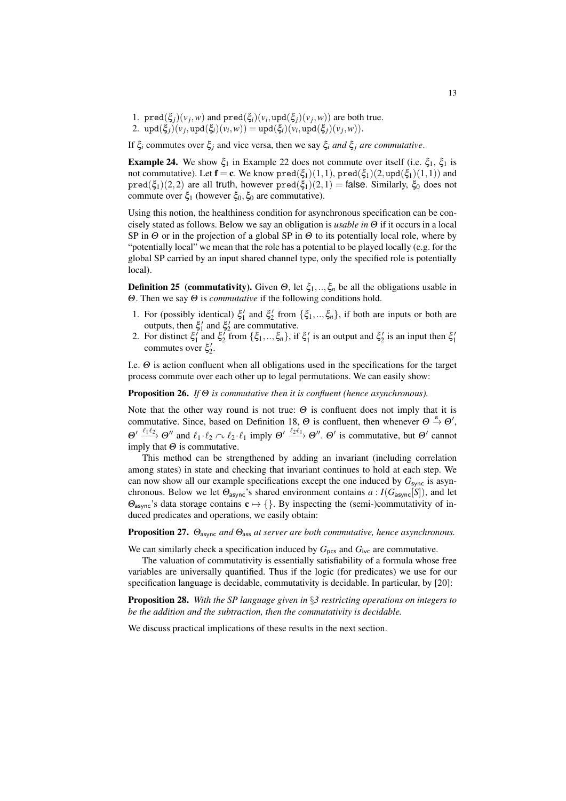- 1.  $\text{pred}(\xi_j)(v_j, w)$  and  $\text{pred}(\xi_i)(v_i, \text{upd}(\xi_j)(v_j, w))$  are both true.
- 2.  $\text{upd}(\xi_i)(v_i, \text{upd}(\xi_i)(v_i, w)) = \text{upd}(\xi_i)(v_i, \text{upd}(\xi_i)(v_i, w)).$

If  $\xi_i$  commutes over  $\xi_j$  and vice versa, then we say  $\xi_i$  *and*  $\xi_j$  *are commutative*.

**Example 24.** We show  $\xi_1$  in Example 22 does not commute over itself (i.e.  $\xi_1$ ,  $\xi_1$  is not commutative). Let  $\mathbf{f} = \mathbf{c}$ . We know  $\text{pred}(\xi_1)(1,1)$ ,  $\text{pred}(\xi_1)(2, \text{upd}(\xi_1)(1,1))$  and  $pred(\xi_1)(2,2)$  are all truth, however  $pred(\xi_1)(2,1) = false$ . Similarly,  $\xi_0$  does not commute over  $\xi_1$  (however  $\xi_0$ ,  $\xi_0$  are commutative).

Using this notion, the healthiness condition for asynchronous specification can be concisely stated as follows. Below we say an obligation is *usable in*  $\Theta$  if it occurs in a local SP in  $\Theta$  or in the projection of a global SP in  $\Theta$  to its potentially local role, where by "potentially local" we mean that the role has a potential to be played locally (e.g. for the global SP carried by an input shared channel type, only the specified role is potentially local).

**Definition 25** (commutativity). Given  $\Theta$ , let  $\xi_1, \dots, \xi_n$  be all the obligations usable in  $\Theta$ . Then we say  $\Theta$  is *commutative* if the following conditions hold.

- 1. For (possibly identical)  $\xi_1'$  and  $\xi_2'$  from  $\{\xi_1, ..., \xi_n\}$ , if both are inputs or both are outputs, then  $\xi_1'$  and  $\xi_2'$  are commutative.
- 2. For distinct  $\xi_1'$  and  $\xi_2'$  from  $\{\xi_1, ..., \xi_n\}$ , if  $\xi_1'$  is an output and  $\xi_2'$  is an input then  $\xi_1'$ commutes over  $\xi_2'$ .

I.e.  $\Theta$  is action confluent when all obligations used in the specifications for the target process commute over each other up to legal permutations. We can easily show:

**Proposition 26.** If  $\Theta$  *is commutative then it is confluent (hence asynchronous).* 

Note that the other way round is not true:  $\Theta$  is confluent does not imply that it is commutative. Since, based on Definition 18,  $\Theta$  is confluent, then whenever  $\Theta \stackrel{s}{\rightarrow} \Theta'$ ,  $\Theta' \xrightarrow{\ell_1 \ell_2} \Theta''$  and  $\ell_1 \cdot \ell_2 \curvearrowright \ell_2 \cdot \ell_1$  imply  $\Theta' \xrightarrow{\ell_2 \ell_1} \Theta''$ .  $\Theta'$  is commutative, but  $\Theta'$  cannot imply that  $\Theta$  is commutative.

This method can be strengthened by adding an invariant (including correlation among states) in state and checking that invariant continues to hold at each step. We can now show all our example specifications except the one induced by  $G_{\text{sync}}$  is asynchronous. Below we let  $\Theta_{\text{async}}$ 's shared environment contains  $a: I(G_{\text{async}}[S])$ , and let  $\Theta_{\text{async}}$ 's data storage contains  $\mathbf{c} \mapsto \{\}$ . By inspecting the (semi-)commutativity of induced predicates and operations, we easily obtain:

**Proposition 27.**  $\Theta_{\text{async}}$  *and*  $\Theta_{\text{ass}}$  *at server are both commutative, hence asynchronous.* 

We can similarly check a specification induced by  $G_{\text{pcs}}$  and  $G_{\text{ivc}}$  are commutative.

The valuation of commutativity is essentially satisfiability of a formula whose free variables are universally quantified. Thus if the logic (for predicates) we use for our specification language is decidable, commutativity is decidable. In particular, by [20]:

Proposition 28. *With the SP language given in §3 restricting operations on integers to be the addition and the subtraction, then the commutativity is decidable.*

We discuss practical implications of these results in the next section.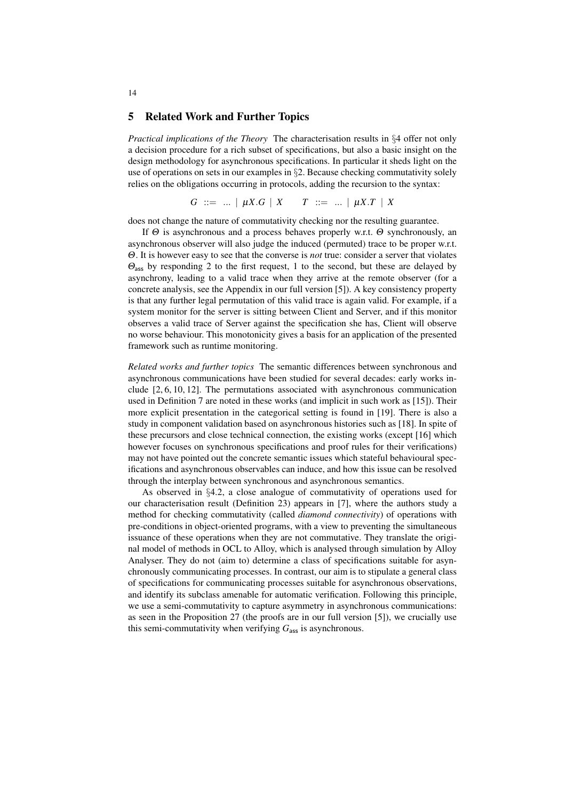## 5 Related Work and Further Topics

*Practical implications of the Theory* The characterisation results in *§*4 offer not only a decision procedure for a rich subset of specifications, but also a basic insight on the design methodology for asynchronous specifications. In particular it sheds light on the use of operations on sets in our examples in *§*2. Because checking commutativity solely relies on the obligations occurring in protocols, adding the recursion to the syntax:

 $G := ... | \mu X.G | X T : := ... | \mu X.T | X$ 

does not change the nature of commutativity checking nor the resulting guarantee.

If  $\Theta$  is asynchronous and a process behaves properly w.r.t.  $\Theta$  synchronously, an asynchronous observer will also judge the induced (permuted) trace to be proper w.r.t. Q. It is however easy to see that the converse is *not* true: consider a server that violates  $\Theta_{\text{ass}}$  by responding 2 to the first request, 1 to the second, but these are delayed by asynchrony, leading to a valid trace when they arrive at the remote observer (for a concrete analysis, see the Appendix in our full version [5]). A key consistency property is that any further legal permutation of this valid trace is again valid. For example, if a system monitor for the server is sitting between Client and Server, and if this monitor observes a valid trace of Server against the specification she has, Client will observe no worse behaviour. This monotonicity gives a basis for an application of the presented framework such as runtime monitoring.

*Related works and further topics* The semantic differences between synchronous and asynchronous communications have been studied for several decades: early works include [2, 6, 10, 12]. The permutations associated with asynchronous communication used in Definition 7 are noted in these works (and implicit in such work as [15]). Their more explicit presentation in the categorical setting is found in [19]. There is also a study in component validation based on asynchronous histories such as [18]. In spite of these precursors and close technical connection, the existing works (except [16] which however focuses on synchronous specifications and proof rules for their verifications) may not have pointed out the concrete semantic issues which stateful behavioural specifications and asynchronous observables can induce, and how this issue can be resolved through the interplay between synchronous and asynchronous semantics.

As observed in *§*4.2, a close analogue of commutativity of operations used for our characterisation result (Definition 23) appears in [7], where the authors study a method for checking commutativity (called *diamond connectivity*) of operations with pre-conditions in object-oriented programs, with a view to preventing the simultaneous issuance of these operations when they are not commutative. They translate the original model of methods in OCL to Alloy, which is analysed through simulation by Alloy Analyser. They do not (aim to) determine a class of specifications suitable for asynchronously communicating processes. In contrast, our aim is to stipulate a general class of specifications for communicating processes suitable for asynchronous observations, and identify its subclass amenable for automatic verification. Following this principle, we use a semi-commutativity to capture asymmetry in asynchronous communications: as seen in the Proposition 27 (the proofs are in our full version [5]), we crucially use this semi-commutativity when verifying  $G_{\text{ass}}$  is asynchronous.